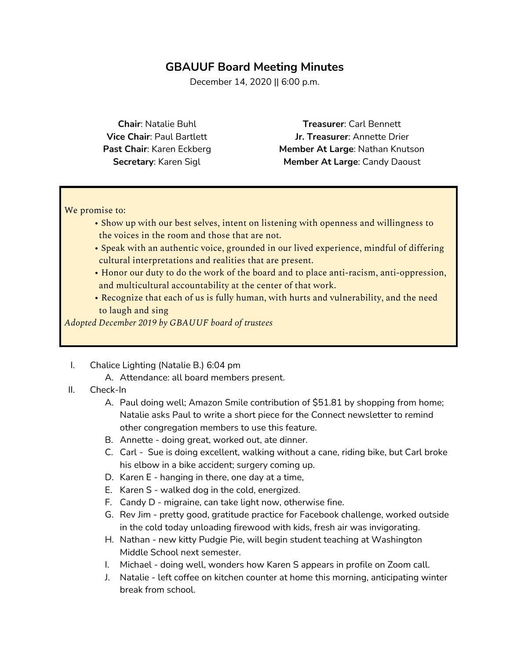# **GBAUUF Board Meeting Minutes**

December 14, 2020 || 6:00 p.m.

**Chair**: Natalie Buhl **Vice Chair**: Paul Bartlett **Past Chair**: Karen Eckberg **Secretary**: Karen Sigl

**Treasurer**: Carl Bennett **Jr. Treasurer**: Annette Drier **Member At Large**: Nathan Knutson **Member At Large**: Candy Daoust

We promise to:

- Show up with our best selves, intent on listening with openness and willingness to the voices in the room and those that are not.
- Speak with an authentic voice, grounded in our lived experience, mindful of differing cultural interpretations and realities that are present.
- Honor our duty to do the work of the board and to place anti-racism, anti-oppression, and multicultural accountability at the center of that work.
- Recognize that each of us is fully human, with hurts and vulnerability, and the need to laugh and sing

*Adopted December 2019 by GBAUUF board of trustees*

- I. Chalice Lighting (Natalie B.) 6:04 pm
	- A. Attendance: all board members present.
- II. Check-In
	- A. Paul doing well; Amazon Smile contribution of \$51.81 by shopping from home; Natalie asks Paul to write a short piece for the Connect newsletter to remind other congregation members to use this feature.
	- B. Annette doing great, worked out, ate dinner.
	- C. Carl Sue is doing excellent, walking without a cane, riding bike, but Carl broke his elbow in a bike accident; surgery coming up.
	- D. Karen E hanging in there, one day at a time,
	- E. Karen S walked dog in the cold, energized.
	- F. Candy D migraine, can take light now, otherwise fine.
	- G. Rev Jim pretty good, gratitude practice for Facebook challenge, worked outside in the cold today unloading firewood with kids, fresh air was invigorating.
	- H. Nathan new kitty Pudgie Pie, will begin student teaching at Washington Middle School next semester.
	- I. Michael doing well, wonders how Karen S appears in profile on Zoom call.
	- J. Natalie left coffee on kitchen counter at home this morning, anticipating winter break from school.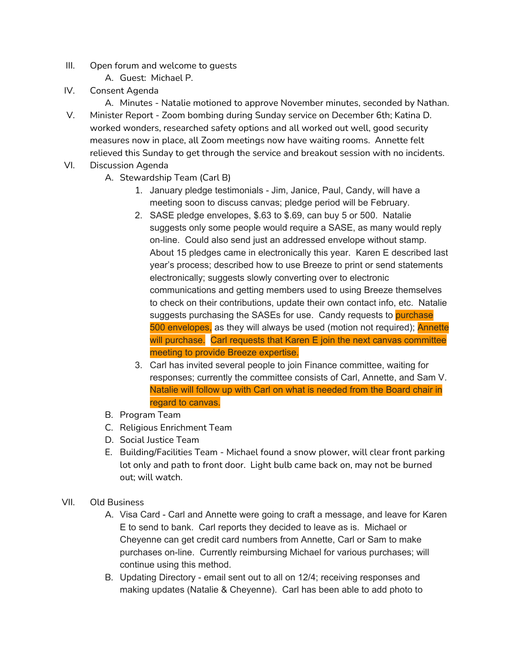- III. Open forum and welcome to guests
	- A. Guest: Michael P.
- IV. Consent Agenda
	- A. Minutes Natalie motioned to approve November minutes, seconded by Nathan.
- V. Minister Report Zoom bombing during Sunday service on December 6th; Katina D. worked wonders, researched safety options and all worked out well, good security measures now in place, all Zoom meetings now have waiting rooms. Annette felt relieved this Sunday to get through the service and breakout session with no incidents.
- VI. Discussion Agenda
	- A. Stewardship Team (Carl B)
		- 1. January pledge testimonials Jim, Janice, Paul, Candy, will have a meeting soon to discuss canvas; pledge period will be February.
		- 2. SASE pledge envelopes, \$.63 to \$.69, can buy 5 or 500. Natalie suggests only some people would require a SASE, as many would reply on-line. Could also send just an addressed envelope without stamp. About 15 pledges came in electronically this year. Karen E described last year's process; described how to use Breeze to print or send statements electronically; suggests slowly converting over to electronic communications and getting members used to using Breeze themselves to check on their contributions, update their own contact info, etc. Natalie suggests purchasing the SASEs for use. Candy requests to purchase 500 envelopes, as they will always be used (motion not required); Annette will purchase. Carl requests that Karen E join the next canvas committee meeting to provide Breeze expertise.
		- 3. Carl has invited several people to join Finance committee, waiting for responses; currently the committee consists of Carl, Annette, and Sam V. Natalie will follow up with Carl on what is needed from the Board chair in regard to canvas.
	- B. Program Team
	- C. Religious Enrichment Team
	- D. Social Justice Team
	- E. Building/Facilities Team Michael found a snow plower, will clear front parking lot only and path to front door. Light bulb came back on, may not be burned out; will watch.
- VII. Old Business
	- A. Visa Card Carl and Annette were going to craft a message, and leave for Karen E to send to bank. Carl reports they decided to leave as is. Michael or Cheyenne can get credit card numbers from Annette, Carl or Sam to make purchases on-line. Currently reimbursing Michael for various purchases; will continue using this method.
	- B. Updating Directory email sent out to all on 12/4; receiving responses and making updates (Natalie & Cheyenne). Carl has been able to add photo to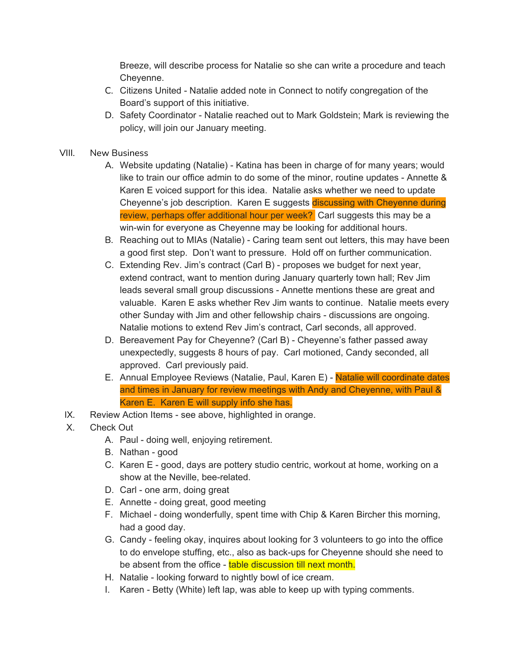Breeze, will describe process for Natalie so she can write a procedure and teach Cheyenne.

- C. Citizens United Natalie added note in Connect to notify congregation of the Board's support of this initiative.
- D. Safety Coordinator Natalie reached out to Mark Goldstein; Mark is reviewing the policy, will join our January meeting.
- VIII. New Business
	- A. Website updating (Natalie) Katina has been in charge of for many years; would like to train our office admin to do some of the minor, routine updates - Annette & Karen E voiced support for this idea. Natalie asks whether we need to update Cheyenne's job description. Karen E suggests discussing with Cheyenne during review, perhaps offer additional hour per week? Carl suggests this may be a win-win for everyone as Cheyenne may be looking for additional hours.
	- B. Reaching out to MIAs (Natalie) Caring team sent out letters, this may have been a good first step. Don't want to pressure. Hold off on further communication.
	- C. Extending Rev. Jim's contract (Carl B) proposes we budget for next year, extend contract, want to mention during January quarterly town hall; Rev Jim leads several small group discussions - Annette mentions these are great and valuable. Karen E asks whether Rev Jim wants to continue. Natalie meets every other Sunday with Jim and other fellowship chairs - discussions are ongoing. Natalie motions to extend Rev Jim's contract, Carl seconds, all approved.
	- D. Bereavement Pay for Cheyenne? (Carl B) Cheyenne's father passed away unexpectedly, suggests 8 hours of pay. Carl motioned, Candy seconded, all approved. Carl previously paid.
	- E. Annual Employee Reviews (Natalie, Paul, Karen E) Natalie will coordinate dates and times in January for review meetings with Andy and Cheyenne, with Paul & Karen E. Karen E will supply info she has.
	- IX. Review Action Items see above, highlighted in orange.
	- X. Check Out
		- A. Paul doing well, enjoying retirement.
		- B. Nathan good
		- C. Karen E good, days are pottery studio centric, workout at home, working on a show at the Neville, bee-related.
		- D. Carl one arm, doing great
		- E. Annette doing great, good meeting
		- F. Michael doing wonderfully, spent time with Chip & Karen Bircher this morning, had a good day.
		- G. Candy feeling okay, inquires about looking for 3 volunteers to go into the office to do envelope stuffing, etc., also as back-ups for Cheyenne should she need to be absent from the office - table discussion till next month.
		- H. Natalie looking forward to nightly bowl of ice cream.
		- I. Karen Betty (White) left lap, was able to keep up with typing comments.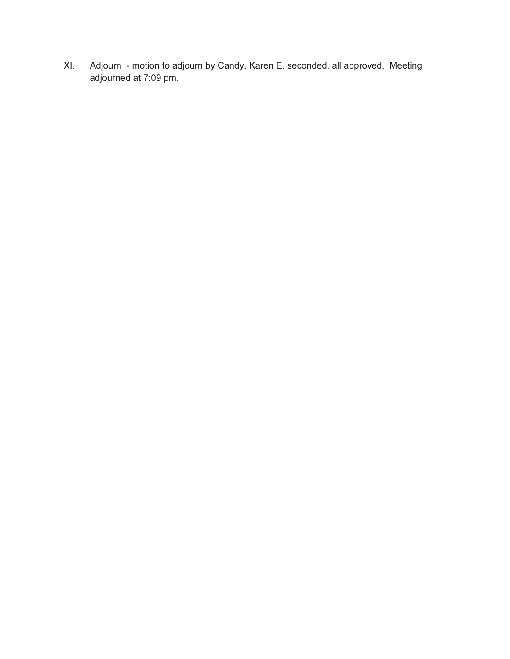Adjourn - motion to adjourn by Candy, Karen E. seconded, all approved. Meeting XI. adjourned at 7:09 pm.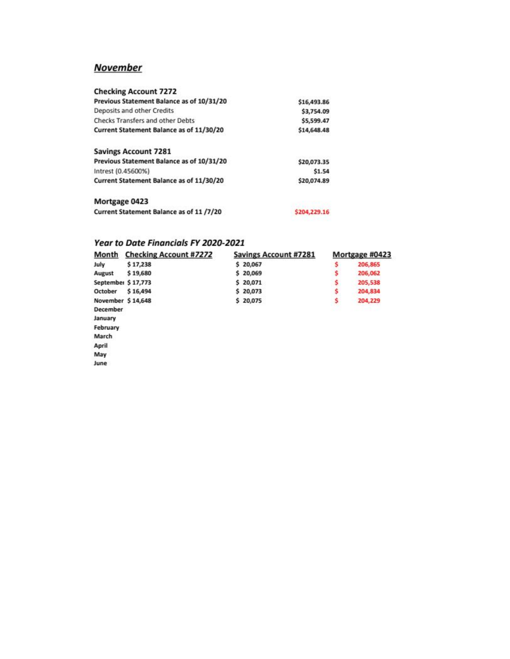# **November**

| <b>Checking Account 7272</b>              |              |
|-------------------------------------------|--------------|
| Previous Statement Balance as of 10/31/20 | \$16,493.86  |
| Deposits and other Credits                | \$3,754.09   |
| <b>Checks Transfers and other Debts</b>   | \$5,599.47   |
| Current Statement Balance as of 11/30/20  | \$14,648.48  |
| <b>Savings Account 7281</b>               |              |
| Previous Statement Balance as of 10/31/20 | \$20,073.35  |
| Intrest (0.45600%)                        | \$1.54       |
| Current Statement Balance as of 11/30/20  | \$20,074.89  |
| Mortgage 0423                             |              |
| Current Statement Balance as of 11 /7/20  | \$204,229.16 |
|                                           |              |

#### Year to Date Financials FY 2020-2021

| Month              | <b>Checking Account #7272</b> | <b>Savings Account #7281</b> | Mortgage #0423 |         |  |
|--------------------|-------------------------------|------------------------------|----------------|---------|--|
| July               | \$17,238                      | \$20,067                     | s              | 206,865 |  |
| August             | \$19,680                      | \$20,069                     |                | 206,062 |  |
| September \$17,773 |                               | \$20,071                     |                | 205,538 |  |
| October            | \$16,494                      | \$20,073                     | s              | 204,834 |  |
| November \$14,648  |                               | \$20,075                     | \$             | 204,229 |  |
| <b>December</b>    |                               |                              |                |         |  |
| January            |                               |                              |                |         |  |
| February           |                               |                              |                |         |  |
| March              |                               |                              |                |         |  |
| April              |                               |                              |                |         |  |
| May                |                               |                              |                |         |  |
| June               |                               |                              |                |         |  |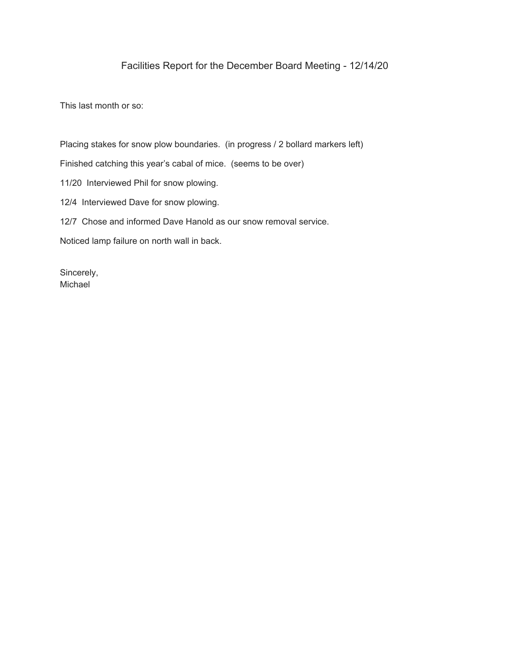## Facilities Report for the December Board Meeting - 12/14/20

This last month or so:

Placing stakes for snow plow boundaries. (in progress / 2 bollard markers left) Finished catching this year's cabal of mice. (seems to be over) 11/20 Interviewed Phil for snow plowing. 12/4 Interviewed Dave for snow plowing. 12/7 Chose and informed Dave Hanold as our snow removal service. Noticed lamp failure on north wall in back.

Sincerely, Michael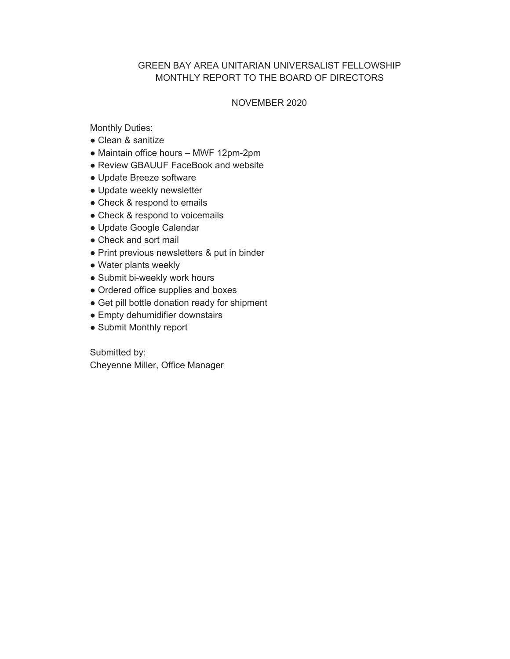### GREEN BAY AREA UNITARIAN UNIVERSALIST FELLOWSHIP MONTHLY REPORT TO THE BOARD OF DIRECTORS

#### NOVEMBER 2020

Monthly Duties:

- Clean & sanitize
- Maintain office hours MWF 12pm-2pm
- Review GBAUUF FaceBook and website
- Update Breeze software
- Update weekly newsletter
- Check & respond to emails
- Check & respond to voicemails
- Update Google Calendar
- Check and sort mail
- Print previous newsletters & put in binder
- Water plants weekly
- Submit bi-weekly work hours
- Ordered office supplies and boxes
- Get pill bottle donation ready for shipment
- Empty dehumidifier downstairs
- Submit Monthly report

Submitted by: Cheyenne Miller, Office Manager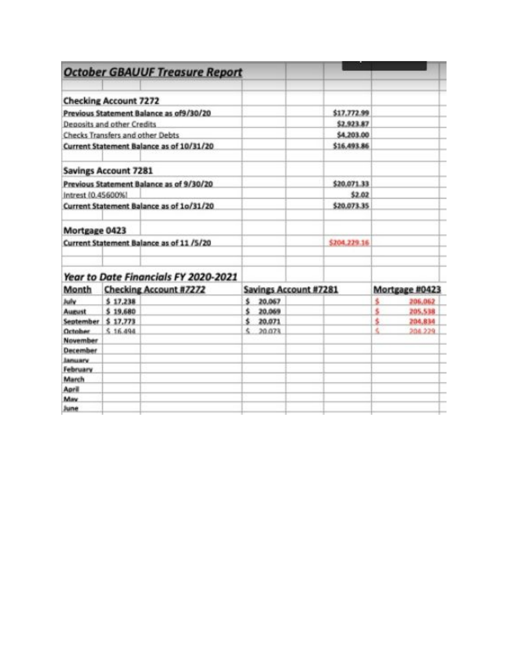|                                         |                               | <b>October GBAUUF Treasure Report</b>    |                              |             |                |    |         |
|-----------------------------------------|-------------------------------|------------------------------------------|------------------------------|-------------|----------------|----|---------|
| <b>Checking Account 7272</b>            |                               |                                          |                              |             |                |    |         |
| Previous Statement Balance as of9/30/20 |                               |                                          |                              | \$17,772.99 |                |    |         |
| Deposits and other Credits              |                               |                                          |                              |             | \$2,923.87     |    |         |
| Checks Transfers and other Debts        |                               |                                          |                              | \$4,203.00  |                |    |         |
|                                         |                               | Current Statement Balance as of 10/31/20 |                              |             | \$16,493.86    |    |         |
| <b>Savings Account 7281</b>             |                               |                                          |                              |             |                |    |         |
|                                         |                               | Previous Statement Balance as of 9/30/20 |                              |             | \$20,071.33    |    |         |
| Intrest (0.45600%)                      |                               |                                          |                              |             | \$2.02         |    |         |
|                                         |                               | Current Statement Balance as of 1o/31/20 |                              |             | \$20,073.35    |    |         |
| Mortgage 0423                           |                               |                                          |                              |             |                |    |         |
|                                         |                               | Current Statement Balance as of 11 /5/20 |                              |             | \$204,229.16   |    |         |
|                                         |                               | Year to Date Financials FY 2020-2021     |                              |             |                |    |         |
| Month                                   | <b>Checking Account #7272</b> |                                          | <b>Savings Account #7281</b> |             | Mortgage #0423 |    |         |
| <b>July</b>                             | \$17,238                      |                                          | ¢                            | 20,067      |                | ś, | 206.062 |
| <b>August</b>                           | \$19,680                      |                                          | 亥                            | 20,069      |                | š. | 205.538 |
| <b>Sentember</b>                        | \$17.773                      |                                          | ¢                            | 20,071      |                | ŝ  | 204.834 |
| October                                 | \$16.494                      |                                          | ś,                           | 20.073      |                | ś, | 204.229 |
| November                                |                               |                                          |                              |             |                |    |         |
| December                                |                               |                                          |                              |             |                |    |         |
| <b>January</b>                          |                               |                                          |                              |             |                |    |         |
| February                                |                               |                                          |                              |             |                |    |         |
| March                                   |                               |                                          |                              |             |                |    |         |
| April                                   |                               |                                          |                              |             |                |    |         |
| May                                     |                               |                                          |                              |             |                |    |         |
| June                                    |                               |                                          |                              |             |                |    |         |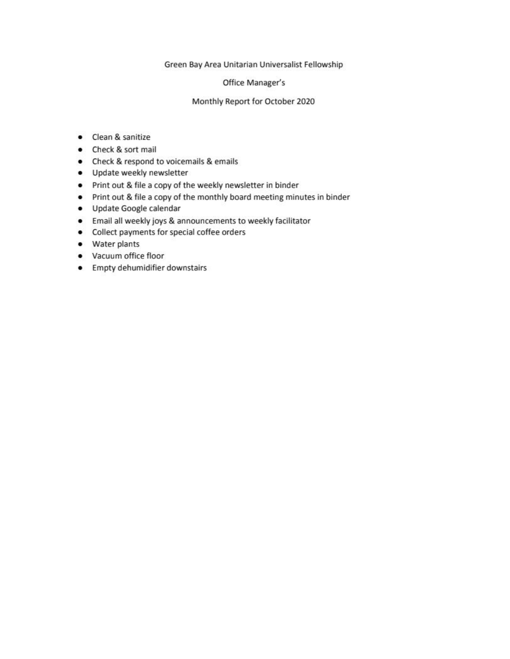#### Green Bay Area Unitarian Universalist Fellowship

#### Office Manager's

#### Monthly Report for October 2020

- Clean & sanitize
- Check & sort mail
- Check & respond to voicemails & emails
- · Update weekly newsletter
- Print out & file a copy of the weekly newsletter in binder
- Print out & file a copy of the monthly board meeting minutes in binder
- · Update Google calendar
- Email all weekly joys & announcements to weekly facilitator
- Collect payments for special coffee orders
- Water plants
- Vacuum office floor
- Empty dehumidifier downstairs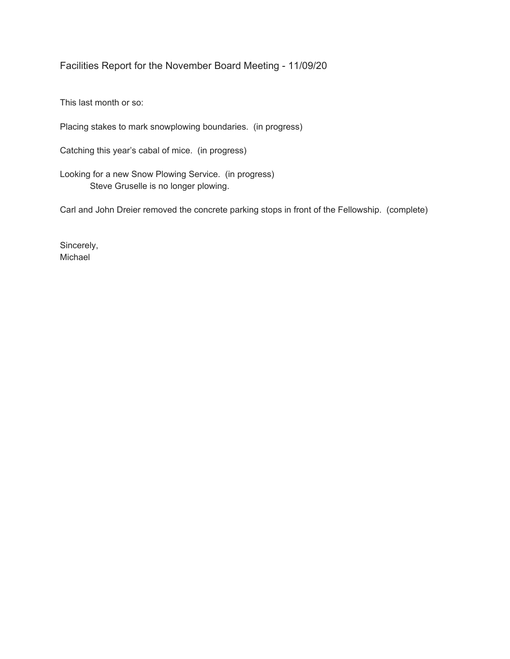Facilities Report for the November Board Meeting - 11/09/20

This last month or so:

Placing stakes to mark snowplowing boundaries. (in progress)

Catching this year's cabal of mice. (in progress)

Looking for a new Snow Plowing Service. (in progress) Steve Gruselle is no longer plowing.

Carl and John Dreier removed the concrete parking stops in front of the Fellowship. (complete)

Sincerely, Michael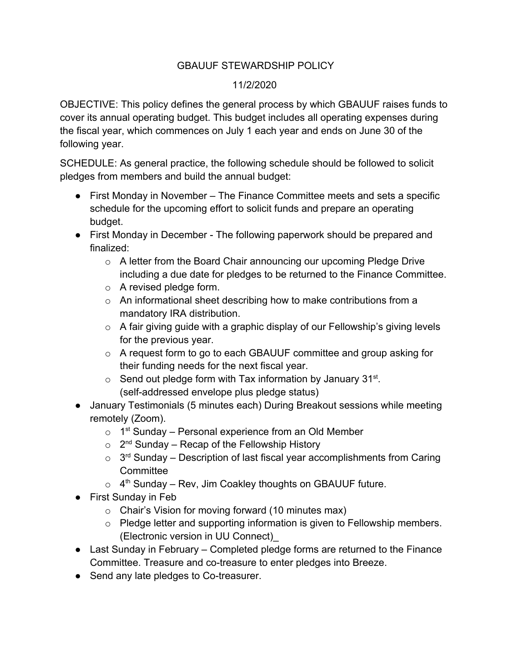## GBAUUF STEWARDSHIP POLICY

### 11/2/2020

OBJECTIVE: This policy defines the general process by which GBAUUF raises funds to cover its annual operating budget. This budget includes all operating expenses during the fiscal year, which commences on July 1 each year and ends on June 30 of the following year.

SCHEDULE: As general practice, the following schedule should be followed to solicit pledges from members and build the annual budget:

- First Monday in November The Finance Committee meets and sets a specific schedule for the upcoming effort to solicit funds and prepare an operating budget.
- First Monday in December The following paperwork should be prepared and finalized:
	- o A letter from the Board Chair announcing our upcoming Pledge Drive including a due date for pledges to be returned to the Finance Committee.
	- $\circ$  A revised pledge form.
	- $\circ$  An informational sheet describing how to make contributions from a mandatory IRA distribution.
	- $\circ$  A fair giving guide with a graphic display of our Fellowship's giving levels for the previous year.
	- o A request form to go to each GBAUUF committee and group asking for their funding needs for the next fiscal year.
	- $\circ$  Send out pledge form with Tax information by January 31st. (self-addressed envelope plus pledge status)
- January Testimonials (5 minutes each) During Breakout sessions while meeting remotely (Zoom).
	- $\circ$  1<sup>st</sup> Sunday Personal experience from an Old Member
	- $\circ$  2<sup>nd</sup> Sunday Recap of the Fellowship History
	- $\circ$  3<sup>rd</sup> Sunday Description of last fiscal year accomplishments from Caring **Committee**
	- $\circ$  4<sup>th</sup> Sunday Rev, Jim Coakley thoughts on GBAUUF future.
- First Sunday in Feb
	- $\circ$  Chair's Vision for moving forward (10 minutes max)
	- o Pledge letter and supporting information is given to Fellowship members. (Electronic version in UU Connect)\_
- Last Sunday in February Completed pledge forms are returned to the Finance Committee. Treasure and co-treasure to enter pledges into Breeze.
- Send any late pledges to Co-treasurer.